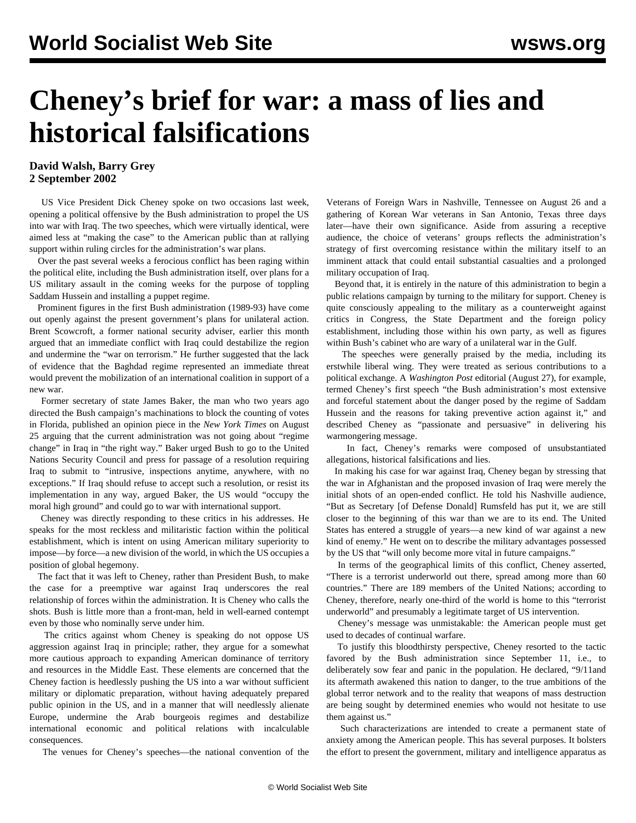## **Cheney's brief for war: a mass of lies and historical falsifications**

## **David Walsh, Barry Grey 2 September 2002**

 US Vice President Dick Cheney spoke on two occasions last week, opening a political offensive by the Bush administration to propel the US into war with Iraq. The two speeches, which were virtually identical, were aimed less at "making the case" to the American public than at rallying support within ruling circles for the administration's war plans.

 Over the past several weeks a ferocious conflict has been raging within the political elite, including the Bush administration itself, over plans for a US military assault in the coming weeks for the purpose of toppling Saddam Hussein and installing a puppet regime.

 Prominent figures in the first Bush administration (1989-93) have come out openly against the present government's plans for unilateral action. Brent Scowcroft, a former national security adviser, earlier this month argued that an immediate conflict with Iraq could destabilize the region and undermine the "war on terrorism." He further suggested that the lack of evidence that the Baghdad regime represented an immediate threat would prevent the mobilization of an international coalition in support of a new war.

 Former secretary of state James Baker, the man who two years ago directed the Bush campaign's machinations to block the counting of votes in Florida, published an opinion piece in the *New York Times* on August 25 arguing that the current administration was not going about "regime change" in Iraq in "the right way." Baker urged Bush to go to the United Nations Security Council and press for passage of a resolution requiring Iraq to submit to "intrusive, inspections anytime, anywhere, with no exceptions." If Iraq should refuse to accept such a resolution, or resist its implementation in any way, argued Baker, the US would "occupy the moral high ground" and could go to war with international support.

 Cheney was directly responding to these critics in his addresses. He speaks for the most reckless and militaristic faction within the political establishment, which is intent on using American military superiority to impose—by force—a new division of the world, in which the US occupies a position of global hegemony.

 The fact that it was left to Cheney, rather than President Bush, to make the case for a preemptive war against Iraq underscores the real relationship of forces within the administration. It is Cheney who calls the shots. Bush is little more than a front-man, held in well-earned contempt even by those who nominally serve under him.

 The critics against whom Cheney is speaking do not oppose US aggression against Iraq in principle; rather, they argue for a somewhat more cautious approach to expanding American dominance of territory and resources in the Middle East. These elements are concerned that the Cheney faction is heedlessly pushing the US into a war without sufficient military or diplomatic preparation, without having adequately prepared public opinion in the US, and in a manner that will needlessly alienate Europe, undermine the Arab bourgeois regimes and destabilize international economic and political relations with incalculable consequences.

The venues for Cheney's speeches—the national convention of the

Veterans of Foreign Wars in Nashville, Tennessee on August 26 and a gathering of Korean War veterans in San Antonio, Texas three days later—have their own significance. Aside from assuring a receptive audience, the choice of veterans' groups reflects the administration's strategy of first overcoming resistance within the military itself to an imminent attack that could entail substantial casualties and a prolonged military occupation of Iraq.

 Beyond that, it is entirely in the nature of this administration to begin a public relations campaign by turning to the military for support. Cheney is quite consciously appealing to the military as a counterweight against critics in Congress, the State Department and the foreign policy establishment, including those within his own party, as well as figures within Bush's cabinet who are wary of a unilateral war in the Gulf.

 The speeches were generally praised by the media, including its erstwhile liberal wing. They were treated as serious contributions to a political exchange. A *Washington Post* editorial (August 27), for example, termed Cheney's first speech "the Bush administration's most extensive and forceful statement about the danger posed by the regime of Saddam Hussein and the reasons for taking preventive action against it," and described Cheney as "passionate and persuasive" in delivering his warmongering message.

 In fact, Cheney's remarks were composed of unsubstantiated allegations, historical falsifications and lies.

 In making his case for war against Iraq, Cheney began by stressing that the war in Afghanistan and the proposed invasion of Iraq were merely the initial shots of an open-ended conflict. He told his Nashville audience, "But as Secretary [of Defense Donald] Rumsfeld has put it, we are still closer to the beginning of this war than we are to its end. The United States has entered a struggle of years—a new kind of war against a new kind of enemy." He went on to describe the military advantages possessed by the US that "will only become more vital in future campaigns."

 In terms of the geographical limits of this conflict, Cheney asserted, "There is a terrorist underworld out there, spread among more than 60 countries." There are 189 members of the United Nations; according to Cheney, therefore, nearly one-third of the world is home to this "terrorist underworld" and presumably a legitimate target of US intervention.

 Cheney's message was unmistakable: the American people must get used to decades of continual warfare.

 To justify this bloodthirsty perspective, Cheney resorted to the tactic favored by the Bush administration since September 11, i.e., to deliberately sow fear and panic in the population. He declared, "9/11and its aftermath awakened this nation to danger, to the true ambitions of the global terror network and to the reality that weapons of mass destruction are being sought by determined enemies who would not hesitate to use them against us."

 Such characterizations are intended to create a permanent state of anxiety among the American people. This has several purposes. It bolsters the effort to present the government, military and intelligence apparatus as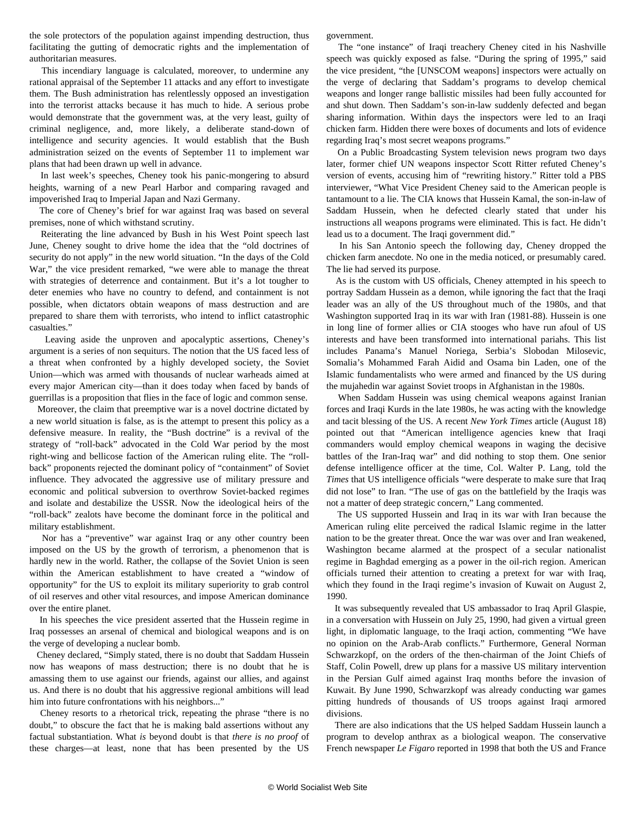the sole protectors of the population against impending destruction, thus facilitating the gutting of democratic rights and the implementation of authoritarian measures.

 This incendiary language is calculated, moreover, to undermine any rational appraisal of the September 11 attacks and any effort to investigate them. The Bush administration has relentlessly opposed an investigation into the terrorist attacks because it has much to hide. A serious probe would demonstrate that the government was, at the very least, guilty of criminal negligence, and, more likely, a deliberate stand-down of intelligence and security agencies. It would establish that the Bush administration seized on the events of September 11 to implement war plans that had been drawn up well in advance.

 In last week's speeches, Cheney took his panic-mongering to absurd heights, warning of a new Pearl Harbor and comparing ravaged and impoverished Iraq to Imperial Japan and Nazi Germany.

 The core of Cheney's brief for war against Iraq was based on several premises, none of which withstand scrutiny.

 Reiterating the line advanced by Bush in his West Point speech last June, Cheney sought to drive home the idea that the "old doctrines of security do not apply" in the new world situation. "In the days of the Cold War," the vice president remarked, "we were able to manage the threat with strategies of deterrence and containment. But it's a lot tougher to deter enemies who have no country to defend, and containment is not possible, when dictators obtain weapons of mass destruction and are prepared to share them with terrorists, who intend to inflict catastrophic casualties."

 Leaving aside the unproven and apocalyptic assertions, Cheney's argument is a series of non sequiturs. The notion that the US faced less of a threat when confronted by a highly developed society, the Soviet Union—which was armed with thousands of nuclear warheads aimed at every major American city—than it does today when faced by bands of guerrillas is a proposition that flies in the face of logic and common sense.

 Moreover, the claim that preemptive war is a novel doctrine dictated by a new world situation is false, as is the attempt to present this policy as a defensive measure. In reality, the "Bush doctrine" is a revival of the strategy of "roll-back" advocated in the Cold War period by the most right-wing and bellicose faction of the American ruling elite. The "rollback" proponents rejected the dominant policy of "containment" of Soviet influence. They advocated the aggressive use of military pressure and economic and political subversion to overthrow Soviet-backed regimes and isolate and destabilize the USSR. Now the ideological heirs of the "roll-back" zealots have become the dominant force in the political and military establishment.

 Nor has a "preventive" war against Iraq or any other country been imposed on the US by the growth of terrorism, a phenomenon that is hardly new in the world. Rather, the collapse of the Soviet Union is seen within the American establishment to have created a "window of opportunity" for the US to exploit its military superiority to grab control of oil reserves and other vital resources, and impose American dominance over the entire planet.

 In his speeches the vice president asserted that the Hussein regime in Iraq possesses an arsenal of chemical and biological weapons and is on the verge of developing a nuclear bomb.

 Cheney declared, "Simply stated, there is no doubt that Saddam Hussein now has weapons of mass destruction; there is no doubt that he is amassing them to use against our friends, against our allies, and against us. And there is no doubt that his aggressive regional ambitions will lead him into future confrontations with his neighbors..."

 Cheney resorts to a rhetorical trick, repeating the phrase "there is no doubt," to obscure the fact that he is making bald assertions without any factual substantiation. What *is* beyond doubt is that *there is no proof* of these charges—at least, none that has been presented by the US government.

 The "one instance" of Iraqi treachery Cheney cited in his Nashville speech was quickly exposed as false. "During the spring of 1995," said the vice president, "the [UNSCOM weapons] inspectors were actually on the verge of declaring that Saddam's programs to develop chemical weapons and longer range ballistic missiles had been fully accounted for and shut down. Then Saddam's son-in-law suddenly defected and began sharing information. Within days the inspectors were led to an Iraqi chicken farm. Hidden there were boxes of documents and lots of evidence regarding Iraq's most secret weapons programs."

 On a Public Broadcasting System television news program two days later, former chief UN weapons inspector Scott Ritter refuted Cheney's version of events, accusing him of "rewriting history." Ritter told a PBS interviewer, "What Vice President Cheney said to the American people is tantamount to a lie. The CIA knows that Hussein Kamal, the son-in-law of Saddam Hussein, when he defected clearly stated that under his instructions all weapons programs were eliminated. This is fact. He didn't lead us to a document. The Iraqi government did."

 In his San Antonio speech the following day, Cheney dropped the chicken farm anecdote. No one in the media noticed, or presumably cared. The lie had served its purpose.

 As is the custom with US officials, Cheney attempted in his speech to portray Saddam Hussein as a demon, while ignoring the fact that the Iraqi leader was an ally of the US throughout much of the 1980s, and that Washington supported Iraq in its war with Iran (1981-88). Hussein is one in long line of former allies or CIA stooges who have run afoul of US interests and have been transformed into international pariahs. This list includes Panama's Manuel Noriega, Serbia's Slobodan Milosevic, Somalia's Mohammed Farah Aidid and Osama bin Laden, one of the Islamic fundamentalists who were armed and financed by the US during the mujahedin war against Soviet troops in Afghanistan in the 1980s.

 When Saddam Hussein was using chemical weapons against Iranian forces and Iraqi Kurds in the late 1980s, he was acting with the knowledge and tacit blessing of the US. A recent *New York Times* article (August 18) pointed out that "American intelligence agencies knew that Iraqi commanders would employ chemical weapons in waging the decisive battles of the Iran-Iraq war" and did nothing to stop them. One senior defense intelligence officer at the time, Col. Walter P. Lang, told the *Times* that US intelligence officials "were desperate to make sure that Iraq did not lose" to Iran. "The use of gas on the battlefield by the Iraqis was not a matter of deep strategic concern," Lang commented.

 The US supported Hussein and Iraq in its war with Iran because the American ruling elite perceived the radical Islamic regime in the latter nation to be the greater threat. Once the war was over and Iran weakened, Washington became alarmed at the prospect of a secular nationalist regime in Baghdad emerging as a power in the oil-rich region. American officials turned their attention to creating a pretext for war with Iraq, which they found in the Iraqi regime's invasion of Kuwait on August 2, 1990.

 It was subsequently revealed that US ambassador to Iraq April Glaspie, in a conversation with Hussein on July 25, 1990, had given a virtual green light, in diplomatic language, to the Iraqi action, commenting "We have no opinion on the Arab-Arab conflicts." Furthermore, General Norman Schwarzkopf, on the orders of the then-chairman of the Joint Chiefs of Staff, Colin Powell, drew up plans for a massive US military intervention in the Persian Gulf aimed against Iraq months before the invasion of Kuwait. By June 1990, Schwarzkopf was already conducting war games pitting hundreds of thousands of US troops against Iraqi armored divisions.

 There are also indications that the US helped Saddam Hussein launch a program to develop anthrax as a biological weapon. The conservative French newspaper *Le Figaro* reported in 1998 that both the US and France